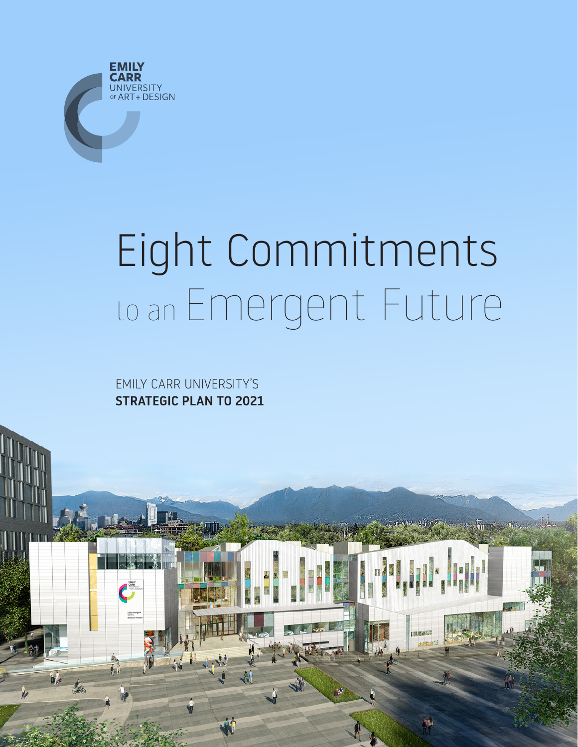

## Eight Commitments to an Emergent Future

**Francisco Missou** 

EMILY CARR UNIVERSITY'S STRATEGIC PLAN TO 2021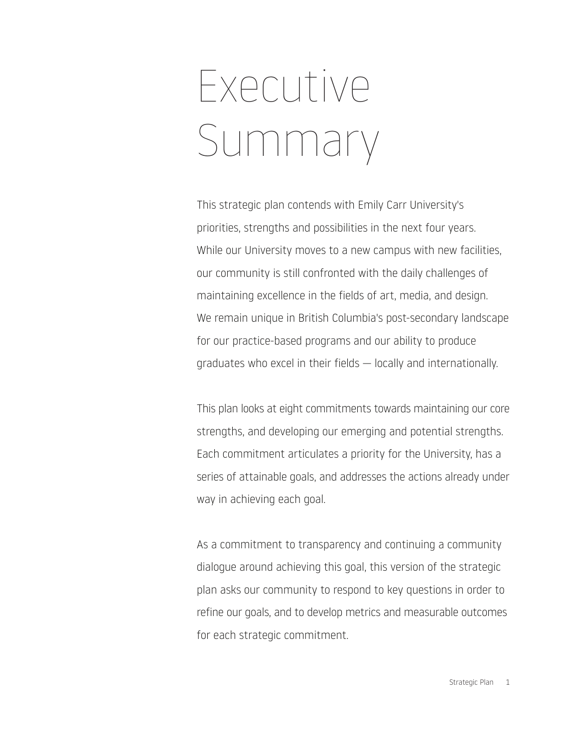## Executive Summary

This strategic plan contends with Emily Carr University's priorities, strengths and possibilities in the next four years. While our University moves to a new campus with new facilities, our community is still confronted with the daily challenges of maintaining excellence in the fields of art, media, and design. We remain unique in British Columbia's post-secondary landscape for our practice-based programs and our ability to produce graduates who excel in their fields — locally and internationally.

This plan looks at eight commitments towards maintaining our core strengths, and developing our emerging and potential strengths. Each commitment articulates a priority for the University, has a series of attainable goals, and addresses the actions already under way in achieving each goal.

As a commitment to transparency and continuing a community dialogue around achieving this goal, this version of the strategic plan asks our community to respond to key questions in order to refine our goals, and to develop metrics and measurable outcomes for each strategic commitment.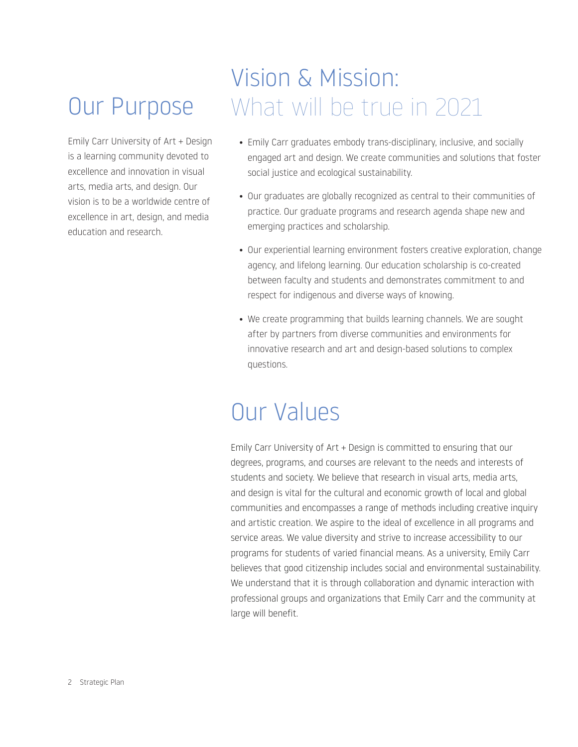### Our Purpose

Emily Carr University of Art + Design is a learning community devoted to excellence and innovation in visual arts, media arts, and design. Our vision is to be a worldwide centre of excellence in art, design, and media education and research.

#### Vision & Mission: What will be true in 2021

- Emily Carr graduates embody trans-disciplinary, inclusive, and socially engaged art and design. We create communities and solutions that foster social justice and ecological sustainability.
- Our graduates are globally recognized as central to their communities of practice. Our graduate programs and research agenda shape new and emerging practices and scholarship.
- Our experiential learning environment fosters creative exploration, change agency, and lifelong learning. Our education scholarship is co-created between faculty and students and demonstrates commitment to and respect for indigenous and diverse ways of knowing.
- We create programming that builds learning channels. We are sought after by partners from diverse communities and environments for innovative research and art and design-based solutions to complex questions.

#### Our Values

Emily Carr University of Art + Design is committed to ensuring that our degrees, programs, and courses are relevant to the needs and interests of students and society. We believe that research in visual arts, media arts, and design is vital for the cultural and economic growth of local and global communities and encompasses a range of methods including creative inquiry and artistic creation. We aspire to the ideal of excellence in all programs and service areas. We value diversity and strive to increase accessibility to our programs for students of varied financial means. As a university, Emily Carr believes that good citizenship includes social and environmental sustainability. We understand that it is through collaboration and dynamic interaction with professional groups and organizations that Emily Carr and the community at large will benefit.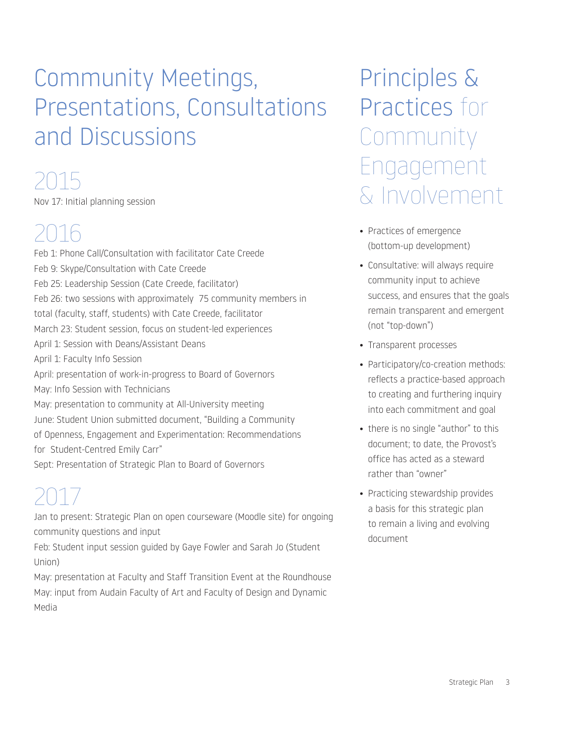### Community Meetings, Presentations, Consultations and Discussions

#### 2015

Nov 17: Initial planning session

### 2016

Feb 1: Phone Call/Consultation with facilitator Cate Creede Feb 9: Skype/Consultation with Cate Creede Feb 25: Leadership Session (Cate Creede, facilitator) Feb 26: two sessions with approximately 75 community members in total (faculty, staff, students) with Cate Creede, facilitator March 23: Student session, focus on student-led experiences April 1: Session with Deans/Assistant Deans April 1: Faculty Info Session April: presentation of work-in-progress to Board of Governors May: Info Session with Technicians May: presentation to community at All-University meeting June: Student Union submitted document, "Building a Community of Openness, Engagement and Experimentation: Recommendations for Student-Centred Emily Carr" Sept: Presentation of Strategic Plan to Board of Governors

#### 2017

Jan to present: Strategic Plan on open courseware (Moodle site) for ongoing community questions and input

Feb: Student input session guided by Gaye Fowler and Sarah Jo (Student Union)

May: presentation at Faculty and Staff Transition Event at the Roundhouse May: input from Audain Faculty of Art and Faculty of Design and Dynamic Media

Principles & Practices for Community Engagement & Involvement

- Practices of emergence (bottom-up development)
- Consultative: will always require community input to achieve success, and ensures that the goals remain transparent and emergent (not "top-down")
- Transparent processes
- Participatory/co-creation methods: reflects a practice-based approach to creating and furthering inquiry into each commitment and goal
- there is no single "author" to this document; to date, the Provost's office has acted as a steward rather than "owner"
- Practicing stewardship provides a basis for this strategic plan to remain a living and evolving document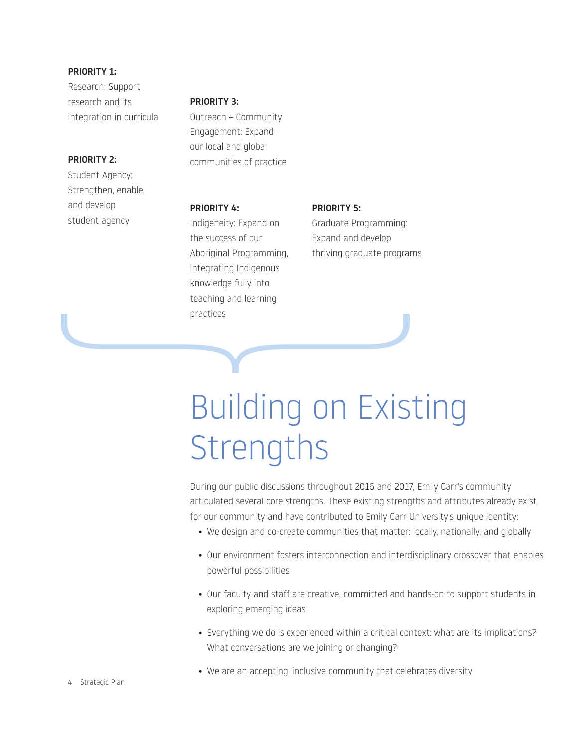PRIORITY 1: Research: Support research and its integration in curricula

#### PRIORITY 2:

Student Agency: Strengthen, enable, and develop student agency

#### PRIORITY 3:

Outreach + Community Engagement: Expand our local and global communities of practice

#### PRIORITY 4:

Indigeneity: Expand on the success of our Aboriginal Programming, integrating Indigenous knowledge fully into teaching and learning practices reacting and learning<br>practices

PRIORITY 5: Graduate Programming: Expand and develop thriving graduate programs

### Building on Existing **Strengths**

During our public discussions throughout 2016 and 2017, Emily Carr's community articulated several core strengths. These existing strengths and attributes already exist for our community and have contributed to Emily Carr University's unique identity:

- We design and co-create communities that matter: locally, nationally, and globally
- Our environment fosters interconnection and interdisciplinary crossover that enables powerful possibilities
- Our faculty and staff are creative, committed and hands-on to support students in exploring emerging ideas
- Everything we do is experienced within a critical context: what are its implications? What conversations are we joining or changing?
- We are an accepting, inclusive community that celebrates diversity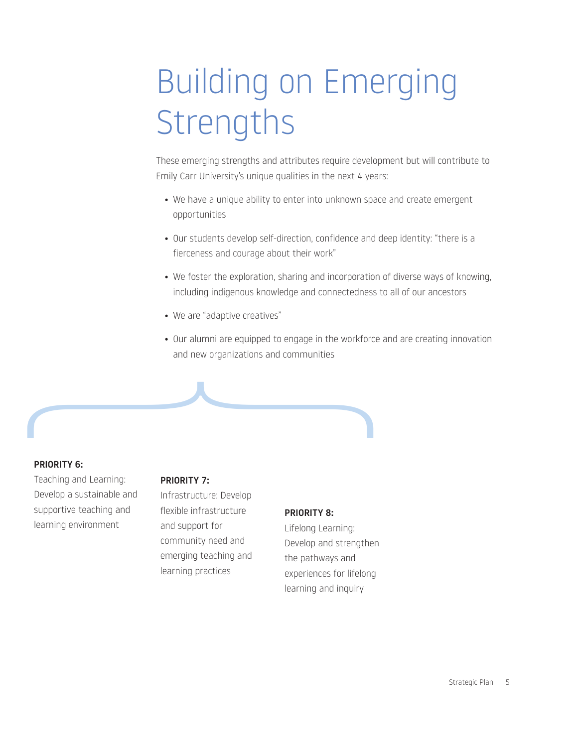## Building on Emerging **Strengths**

These emerging strengths and attributes require development but will contribute to Emily Carr University's unique qualities in the next 4 years:

- We have a unique ability to enter into unknown space and create emergent opportunities
- Our students develop self-direction, confidence and deep identity: "there is a fierceness and courage about their work"
- We foster the exploration, sharing and incorporation of diverse ways of knowing, including indigenous knowledge and connectedness to all of our ancestors
- We are "adaptive creatives"
- Our alumni are equipped to engage in the workforce and are creating innovation and new organizations and communities

#### PRIORITY 6:

Teaching and Learning: Develop a sustainable and supportive teaching and learning environment

#### PRIORITY 7:

{

Infrastructure: Develop flexible infrastructure and support for community need and emerging teaching and learning practices

#### PRIORITY 8:

Lifelong Learning: Develop and strengthen the pathways and experiences for lifelong learning and inquiry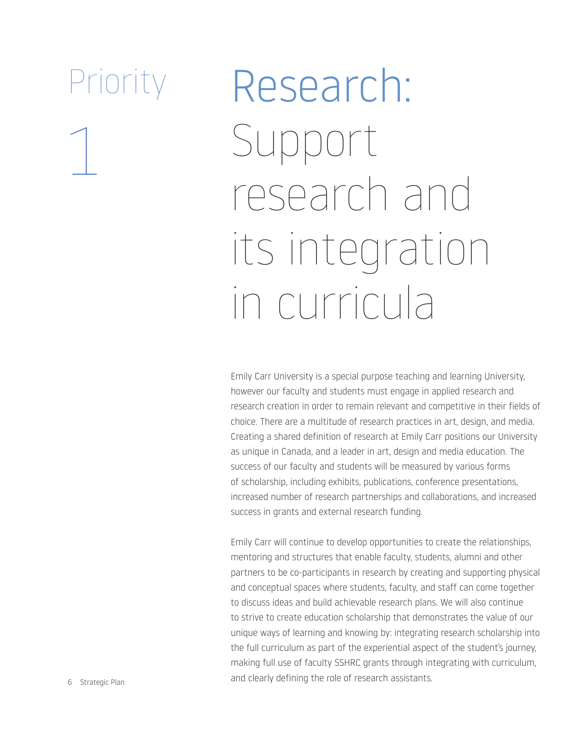1

# Research: Support research and its integration in curricula

Emily Carr University is a special purpose teaching and learning University, however our faculty and students must engage in applied research and research creation in order to remain relevant and competitive in their fields of choice. There are a multitude of research practices in art, design, and media. Creating a shared definition of research at Emily Carr positions our University as unique in Canada, and a leader in art, design and media education. The success of our faculty and students will be measured by various forms of scholarship, including exhibits, publications, conference presentations, increased number of research partnerships and collaborations, and increased success in grants and external research funding.

Emily Carr will continue to develop opportunities to create the relationships, mentoring and structures that enable faculty, students, alumni and other partners to be co-participants in research by creating and supporting physical and conceptual spaces where students, faculty, and staff can come together to discuss ideas and build achievable research plans. We will also continue to strive to create education scholarship that demonstrates the value of our unique ways of learning and knowing by: integrating research scholarship into the full curriculum as part of the experiential aspect of the student's journey, making full use of faculty SSHRC grants through integrating with curriculum, and clearly defining the role of research assistants.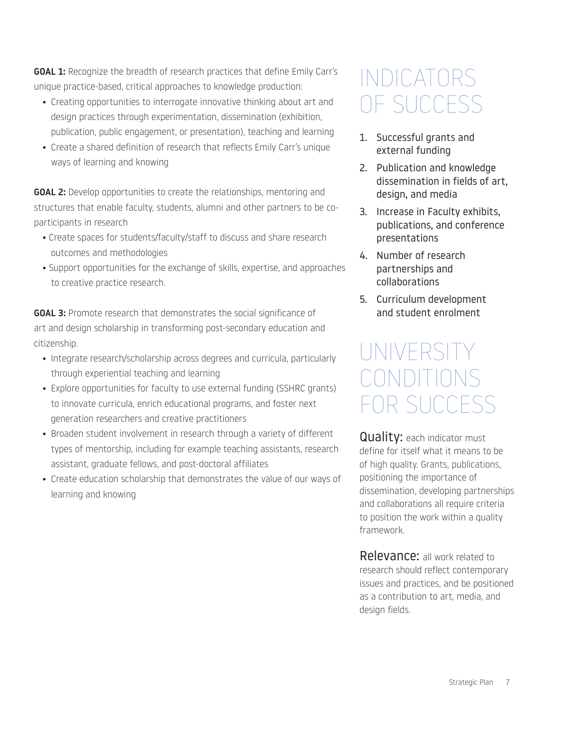GOAL 1: Recognize the breadth of research practices that define Emily Carr's unique practice-based, critical approaches to knowledge production:

- Creating opportunities to interrogate innovative thinking about art and design practices through experimentation, dissemination (exhibition, publication, public engagement, or presentation), teaching and learning
- Create a shared definition of research that reflects Emily Carr's unique ways of learning and knowing

GOAL 2: Develop opportunities to create the relationships, mentoring and structures that enable faculty, students, alumni and other partners to be coparticipants in research

- Create spaces for students/faculty/staff to discuss and share research outcomes and methodologies
- Support opportunities for the exchange of skills, expertise, and approaches to creative practice research.

**GOAL 3:** Promote research that demonstrates the social significance of art and design scholarship in transforming post-secondary education and citizenship.

- Integrate research/scholarship across degrees and curricula, particularly through experiential teaching and learning
- Explore opportunities for faculty to use external funding (SSHRC grants) to innovate curricula, enrich educational programs, and foster next generation researchers and creative practitioners
- Broaden student involvement in research through a variety of different types of mentorship, including for example teaching assistants, research assistant, graduate fellows, and post-doctoral affiliates
- Create education scholarship that demonstrates the value of our ways of learning and knowing

#### INDICATORS OF SUCCESS

- 1. Successful grants and external funding
- 2. Publication and knowledge dissemination in fields of art, design, and media
- 3. Increase in Faculty exhibits, publications, and conference presentations
- 4. Number of research partnerships and collaborations
- 5. Curriculum development and student enrolment

#### UNIVERSITY CONDITION FOR SUCCESS

**Quality:** each indicator must define for itself what it means to be of high quality. Grants, publications, positioning the importance of dissemination, developing partnerships and collaborations all require criteria to position the work within a quality framework.

Relevance: all work related to research should reflect contemporary issues and practices, and be positioned as a contribution to art, media, and design fields.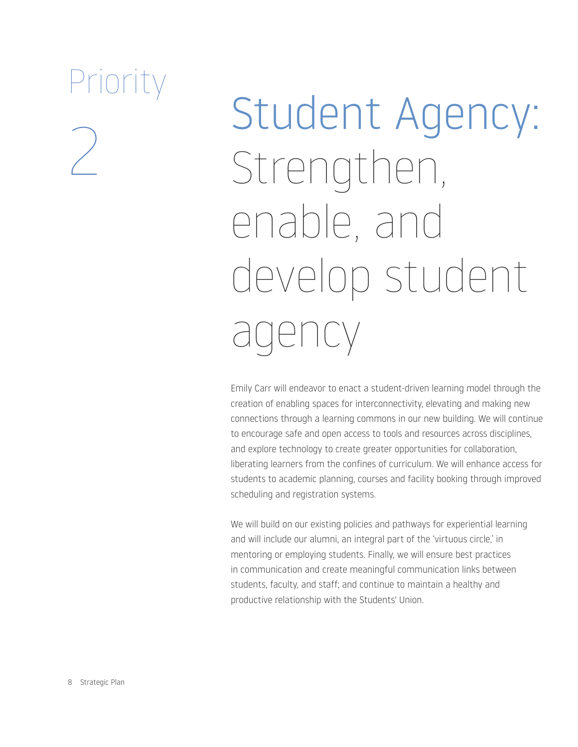# Student Agency: Strengthen, enable, and develop student agency

Emily Carr will endeavor to enact a student-driven learning model through the creation of enabling spaces for interconnectivity, elevating and making new connections through a learning commons in our new building. We will continue to encourage safe and open access to tools and resources across disciplines, and explore technology to create greater opportunities for collaboration, liberating learners from the confines of curriculum. We will enhance access for students to academic planning, courses and facility booking through improved scheduling and registration systems.

We will build on our existing policies and pathways for experiential learning and will include our alumni, an integral part of the 'virtuous circle,' in mentoring or employing students. Finally, we will ensure best practices in communication and create meaningful communication links between students, faculty, and staff; and continue to maintain a healthy and productive relationship with the Students' Union.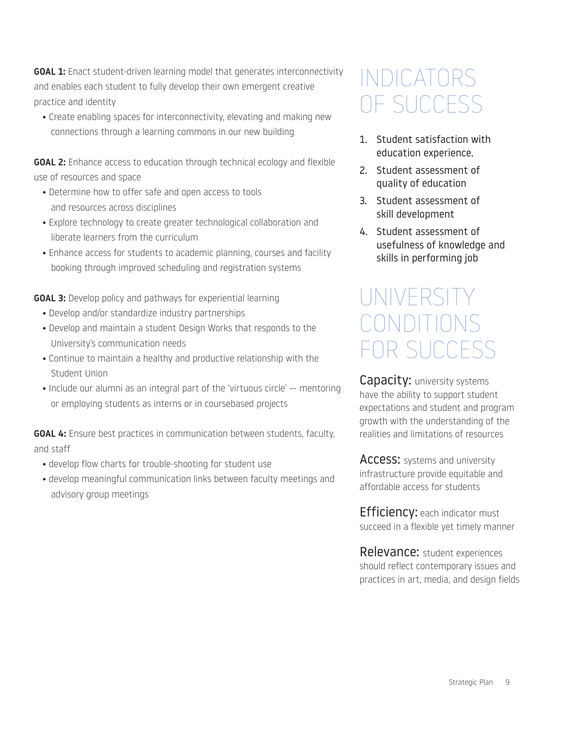**GOAL 1:** Enact student-driven learning model that generates interconnectivity and enables each student to fully develop their own emergent creative practice and identity

• Create enabling spaces for interconnectivity, elevating and making new connections through a learning commons in our new building

GOAL 2: Enhance access to education through technical ecology and flexible use of resources and space

- Determine how to offer safe and open access to tools and resources across disciplines
- Explore technology to create greater technological collaboration and liberate learners from the curriculum
- Enhance access for students to academic planning, courses and facility booking through improved scheduling and registration systems

**GOAL 3:** Develop policy and pathways for experiential learning

- Develop and/or standardize industry partnerships
- Develop and maintain a student Design Works that responds to the University's communication needs
- Continue to maintain a healthy and productive relationship with the Student Union
- Include our alumni as an integral part of the 'virtuous circle' mentoring or employing students as interns or in coursebased projects

GOAL 4: Ensure best practices in communication between students, faculty, and staff

- develop flow charts for trouble-shooting for student use
- develop meaningful communication links between faculty meetings and advisory group meetings

#### INDICATORS OF SUCCESS

- 1. Student satisfaction with education experience.
- 2. Student assessment of quality of education
- 3. Student assessment of skill development
- 4. Student assessment of usefulness of knowledge and skills in performing job

#### UNIVERSIT CONDITIONS FOR SUCCESS

Capacity: university systems have the ability to support student expectations and student and program growth with the understanding of the realities and limitations of resources

ACCESS: systems and university infrastructure provide equitable and affordable access for students

**Efficiency:** each indicator must succeed in a flexible yet timely manner

Relevance: student experiences should reflect contemporary issues and practices in art, media, and design fields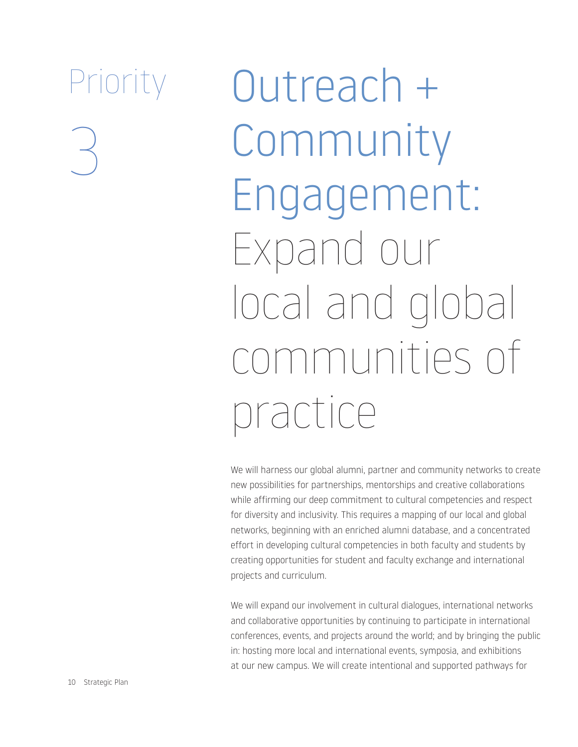Outreach + Community Engagement: Expand our local and global communities of practice

We will harness our global alumni, partner and community networks to create new possibilities for partnerships, mentorships and creative collaborations while affirming our deep commitment to cultural competencies and respect for diversity and inclusivity. This requires a mapping of our local and global networks, beginning with an enriched alumni database, and a concentrated effort in developing cultural competencies in both faculty and students by creating opportunities for student and faculty exchange and international projects and curriculum.

We will expand our involvement in cultural dialogues, international networks and collaborative opportunities by continuing to participate in international conferences, events, and projects around the world; and by bringing the public in: hosting more local and international events, symposia, and exhibitions at our new campus. We will create intentional and supported pathways for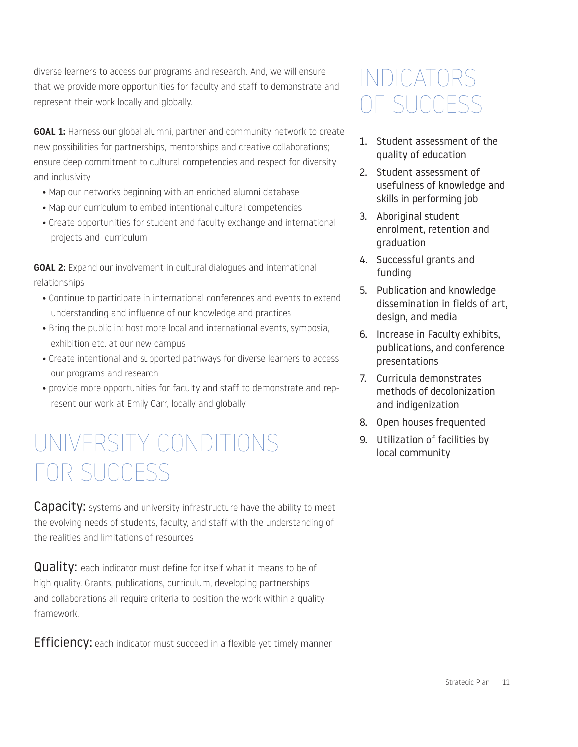diverse learners to access our programs and research. And, we will ensure that we provide more opportunities for faculty and staff to demonstrate and represent their work locally and globally.

**GOAL 1:** Harness our global alumni, partner and community network to create new possibilities for partnerships, mentorships and creative collaborations; ensure deep commitment to cultural competencies and respect for diversity and inclusivity

- Map our networks beginning with an enriched alumni database
- Map our curriculum to embed intentional cultural competencies
- Create opportunities for student and faculty exchange and international projects and curriculum

GOAL 2: Expand our involvement in cultural dialogues and international relationships

- Continue to participate in international conferences and events to extend understanding and influence of our knowledge and practices
- Bring the public in: host more local and international events, symposia, exhibition etc. at our new campus
- Create intentional and supported pathways for diverse learners to access our programs and research
- provide more opportunities for faculty and staff to demonstrate and represent our work at Emily Carr, locally and globally

### UNIVERSITY CONDITIONS FOR SUCCESS

**Capacity:** systems and university infrastructure have the ability to meet the evolving needs of students, faculty, and staff with the understanding of the realities and limitations of resources

**Quality:** each indicator must define for itself what it means to be of high quality. Grants, publications, curriculum, developing partnerships and collaborations all require criteria to position the work within a quality framework.

**Efficiency:** each indicator must succeed in a flexible yet timely manner

#### INDICATORS OF SUCCESS

- 1. Student assessment of the quality of education
- 2. Student assessment of usefulness of knowledge and skills in performing job
- 3. Aboriginal student enrolment, retention and graduation
- 4. Successful grants and funding
- 5. Publication and knowledge dissemination in fields of art, design, and media
- 6. Increase in Faculty exhibits, publications, and conference presentations
- 7. Curricula demonstrates methods of decolonization and indigenization
- 8. Open houses frequented
- 9. Utilization of facilities by local community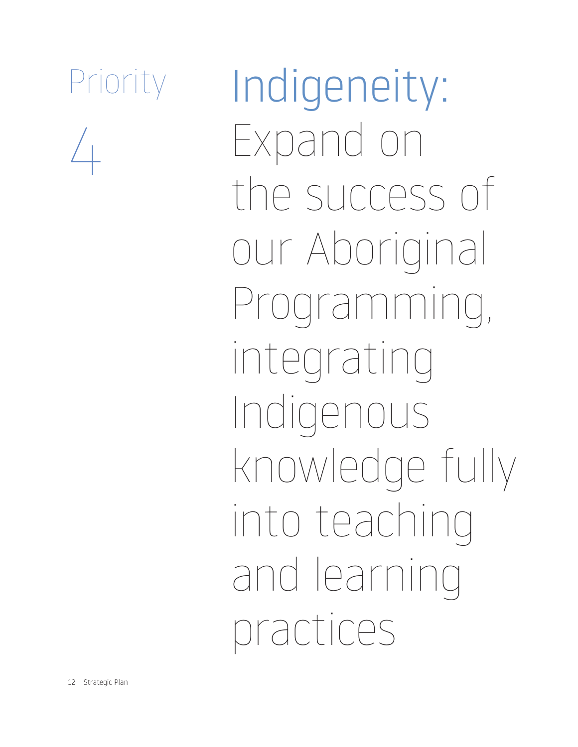$\sqrt{2}$ 

Indigeneity: Expand on the success of our Aboriginal Programming, integrating Indigenous knowledge fully into teaching and learning practices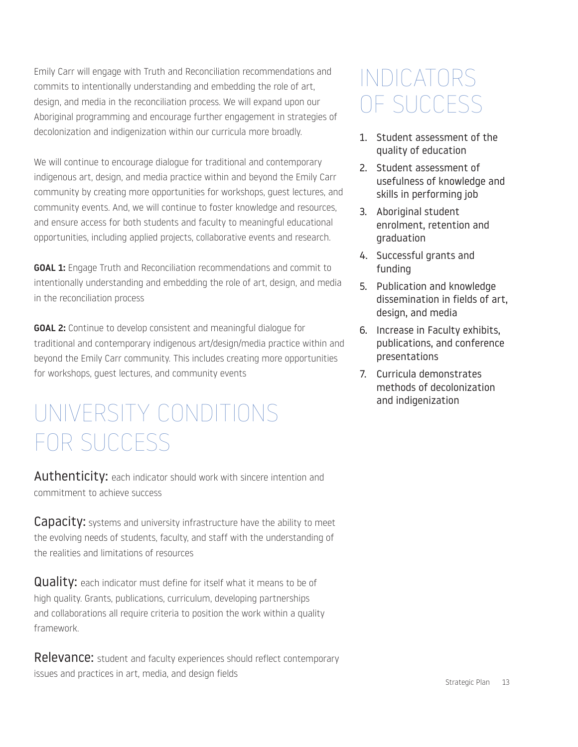Emily Carr will engage with Truth and Reconciliation recommendations and commits to intentionally understanding and embedding the role of art, design, and media in the reconciliation process. We will expand upon our Aboriginal programming and encourage further engagement in strategies of decolonization and indigenization within our curricula more broadly.

We will continue to encourage dialogue for traditional and contemporary indigenous art, design, and media practice within and beyond the Emily Carr community by creating more opportunities for workshops, guest lectures, and community events. And, we will continue to foster knowledge and resources, and ensure access for both students and faculty to meaningful educational opportunities, including applied projects, collaborative events and research.

**GOAL 1:** Engage Truth and Reconciliation recommendations and commit to intentionally understanding and embedding the role of art, design, and media in the reconciliation process

GOAL 2: Continue to develop consistent and meaningful dialogue for traditional and contemporary indigenous art/design/media practice within and beyond the Emily Carr community. This includes creating more opportunities for workshops, guest lectures, and community events

### UNIVERSITY CONDITIONS FOR SUCCESS

Authenticity: each indicator should work with sincere intention and commitment to achieve success

**Capacity:** systems and university infrastructure have the ability to meet the evolving needs of students, faculty, and staff with the understanding of the realities and limitations of resources

**Quality:** each indicator must define for itself what it means to be of high quality. Grants, publications, curriculum, developing partnerships and collaborations all require criteria to position the work within a quality framework.

Relevance: student and faculty experiences should reflect contemporary issues and practices in art, media, and design fields

#### INDICATORS OF SUCCESS

- 1. Student assessment of the quality of education
- 2. Student assessment of usefulness of knowledge and skills in performing job
- 3. Aboriginal student enrolment, retention and graduation
- 4. Successful grants and funding
- 5. Publication and knowledge dissemination in fields of art, design, and media
- 6. Increase in Faculty exhibits, publications, and conference presentations
- 7. Curricula demonstrates methods of decolonization and indigenization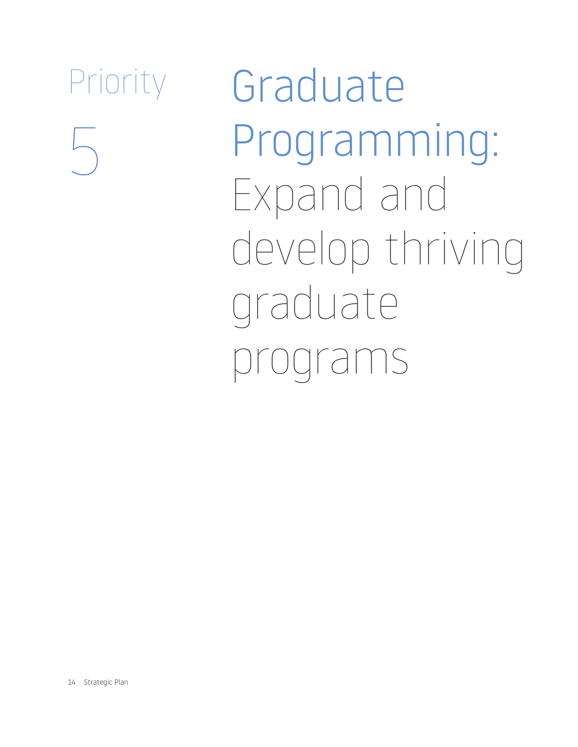

Graduate Programming: Expand and develop thriving graduate programs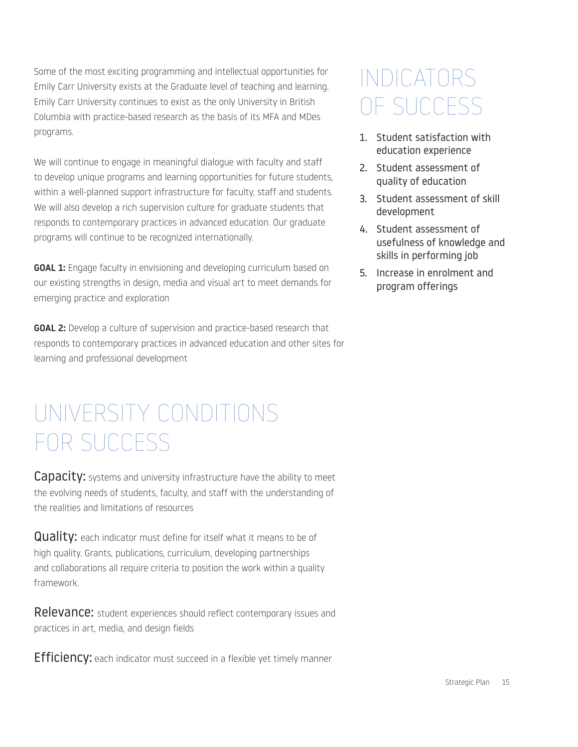Some of the most exciting programming and intellectual opportunities for Emily Carr University exists at the Graduate level of teaching and learning. Emily Carr University continues to exist as the only University in British Columbia with practice-based research as the basis of its MFA and MDes programs.

We will continue to engage in meaningful dialogue with faculty and staff to develop unique programs and learning opportunities for future students, within a well-planned support infrastructure for faculty, staff and students. We will also develop a rich supervision culture for graduate students that responds to contemporary practices in advanced education. Our graduate programs will continue to be recognized internationally.

GOAL 1: Engage faculty in envisioning and developing curriculum based on our existing strengths in design, media and visual art to meet demands for emerging practice and exploration

**GOAL 2:** Develop a culture of supervision and practice-based research that responds to contemporary practices in advanced education and other sites for learning and professional development

### UNIVERSITY CONDITIONS FOR SUCCESS

**Capacity:** systems and university infrastructure have the ability to meet the evolving needs of students, faculty, and staff with the understanding of the realities and limitations of resources

**Quality:** each indicator must define for itself what it means to be of high quality. Grants, publications, curriculum, developing partnerships and collaborations all require criteria to position the work within a quality framework.

**Relevance:** student experiences should reflect contemporary issues and practices in art, media, and design fields

**Efficiency:** each indicator must succeed in a flexible yet timely manner

### INDICATORS OF SUCCESS

- 1. Student satisfaction with education experience
- 2. Student assessment of quality of education
- 3. Student assessment of skill development
- 4. Student assessment of usefulness of knowledge and skills in performing job
- 5. Increase in enrolment and program offerings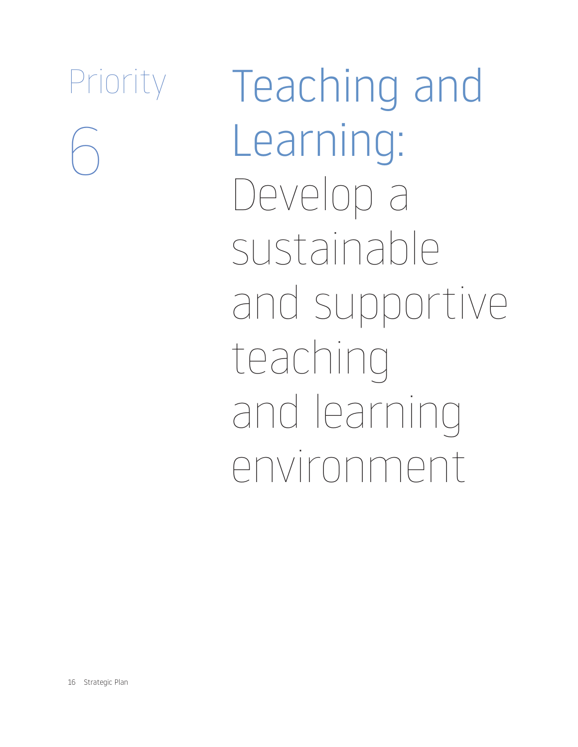Teaching and Learning: Develop a sustainable and supportive teaching and learning environment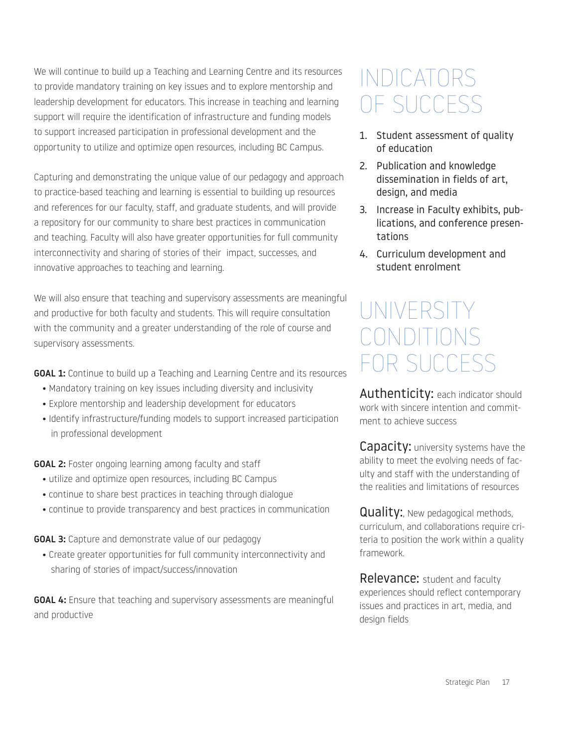We will continue to build up a Teaching and Learning Centre and its resources to provide mandatory training on key issues and to explore mentorship and leadership development for educators. This increase in teaching and learning support will require the identification of infrastructure and funding models to support increased participation in professional development and the opportunity to utilize and optimize open resources, including BC Campus.

Capturing and demonstrating the unique value of our pedagogy and approach to practice-based teaching and learning is essential to building up resources and references for our faculty, staff, and graduate students, and will provide a repository for our community to share best practices in communication and teaching. Faculty will also have greater opportunities for full community interconnectivity and sharing of stories of their impact, successes, and innovative approaches to teaching and learning.

We will also ensure that teaching and supervisory assessments are meaningful and productive for both faculty and students. This will require consultation with the community and a greater understanding of the role of course and supervisory assessments.

**GOAL 1:** Continue to build up a Teaching and Learning Centre and its resources

- Mandatory training on key issues including diversity and inclusivity
- Explore mentorship and leadership development for educators
- Identify infrastructure/funding models to support increased participation in professional development

GOAL 2: Foster ongoing learning among faculty and staff

- utilize and optimize open resources, including BC Campus
- continue to share best practices in teaching through dialogue
- continue to provide transparency and best practices in communication

**GOAL 3:** Capture and demonstrate value of our pedagogy

• Create greater opportunities for full community interconnectivity and sharing of stories of impact/success/innovation

GOAL 4: Ensure that teaching and supervisory assessments are meaningful and productive

#### INDICATORS OF SUCCESS

- 1. Student assessment of quality of education
- 2. Publication and knowledge dissemination in fields of art, design, and media
- 3. Increase in Faculty exhibits, publications, and conference presentations
- 4. Curriculum development and student enrolment

#### UNIVERSITY CONDITIONS FOR SUCCESS

Authenticity: each indicator should work with sincere intention and commitment to achieve success

**Capacity:** university systems have the ability to meet the evolving needs of faculty and staff with the understanding of the realities and limitations of resources

**Quality:**, New pedagogical methods, curriculum, and collaborations require criteria to position the work within a quality framework.

Relevance: student and faculty experiences should reflect contemporary issues and practices in art, media, and design fields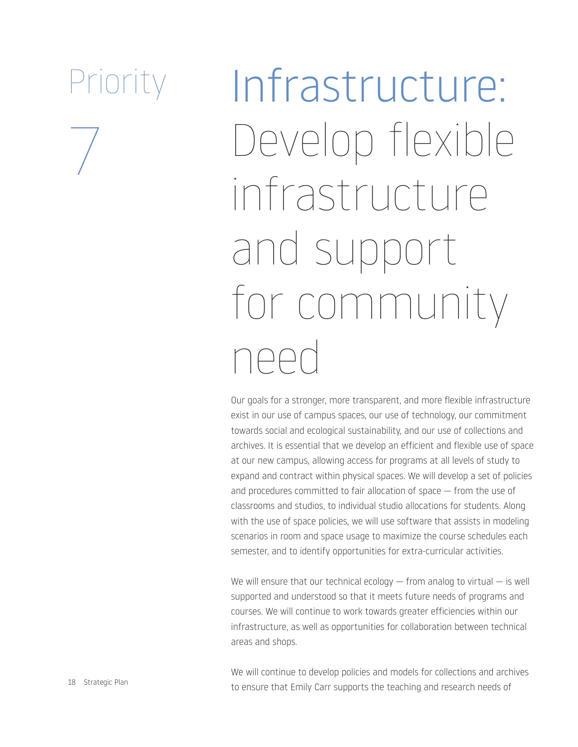$\overline{ }$ 

Infrastructure: Develop flexible infrastructure and support for community need

Our goals for a stronger, more transparent, and more flexible infrastructure exist in our use of campus spaces, our use of technology, our commitment towards social and ecological sustainability, and our use of collections and archives. It is essential that we develop an efficient and flexible use of space at our new campus, allowing access for programs at all levels of study to expand and contract within physical spaces. We will develop a set of policies and procedures committed to fair allocation of space — from the use of classrooms and studios, to individual studio allocations for students. Along with the use of space policies, we will use software that assists in modeling scenarios in room and space usage to maximize the course schedules each semester, and to identify opportunities for extra-curricular activities.

We will ensure that our technical ecology  $-$  from analog to virtual  $-$  is well supported and understood so that it meets future needs of programs and courses. We will continue to work towards greater efficiencies within our infrastructure, as well as opportunities for collaboration between technical areas and shops.

We will continue to develop policies and models for collections and archives to ensure that Emily Carr supports the teaching and research needs of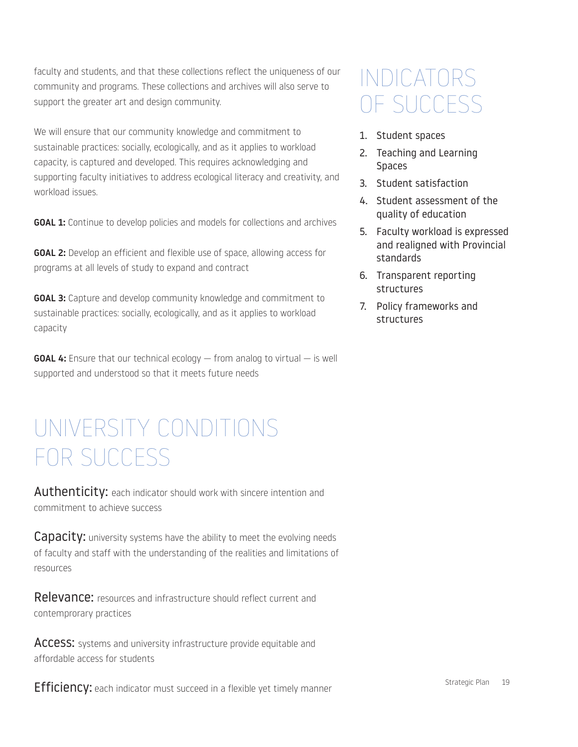faculty and students, and that these collections reflect the uniqueness of our community and programs. These collections and archives will also serve to support the greater art and design community.

We will ensure that our community knowledge and commitment to sustainable practices: socially, ecologically, and as it applies to workload capacity, is captured and developed. This requires acknowledging and supporting faculty initiatives to address ecological literacy and creativity, and workload issues.

**GOAL 1:** Continue to develop policies and models for collections and archives

**GOAL 2:** Develop an efficient and flexible use of space, allowing access for programs at all levels of study to expand and contract

**GOAL 3:** Capture and develop community knowledge and commitment to sustainable practices: socially, ecologically, and as it applies to workload capacity

**GOAL 4:** Ensure that our technical ecology  $-$  from analog to virtual  $-$  is well supported and understood so that it meets future needs

#### UNIVERSITY CONDITIONS FOR SUCCESS

Authenticity: each indicator should work with sincere intention and commitment to achieve success

**Capacity:** university systems have the ability to meet the evolving needs of faculty and staff with the understanding of the realities and limitations of resources

Relevance: resources and infrastructure should reflect current and contemprorary practices

ACCESS: systems and university infrastructure provide equitable and affordable access for students

#### INDICATORS OF SUCCESS

- 1. Student spaces
- 2. Teaching and Learning Spaces
- 3. Student satisfaction
- 4. Student assessment of the quality of education
- 5. Faculty workload is expressed and realigned with Provincial standards
- 6. Transparent reporting structures
- 7. Policy frameworks and structures

**Efficiency:** each indicator must succeed in a flexible yet timely manner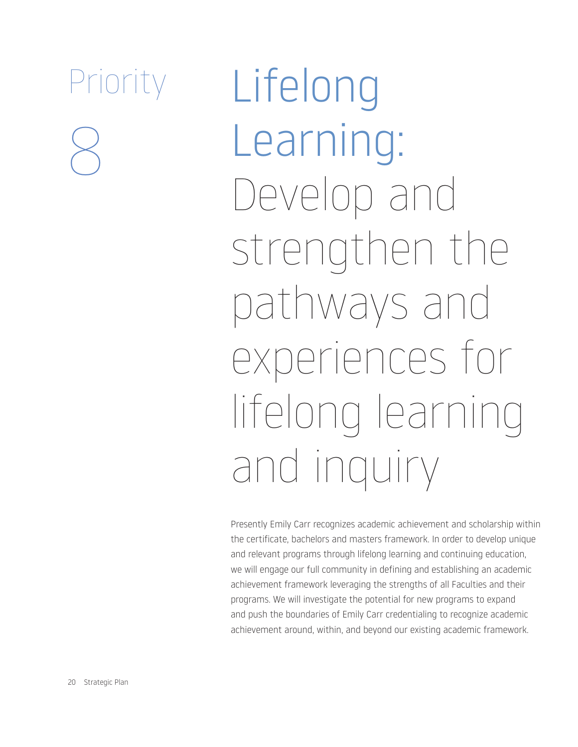Lifelong Learning: Develop and strengthen the pathways and experiences for lifelong learning and inquiry

Presently Emily Carr recognizes academic achievement and scholarship within the certificate, bachelors and masters framework. In order to develop unique and relevant programs through lifelong learning and continuing education, we will engage our full community in defining and establishing an academic achievement framework leveraging the strengths of all Faculties and their programs. We will investigate the potential for new programs to expand and push the boundaries of Emily Carr credentialing to recognize academic achievement around, within, and beyond our existing academic framework.